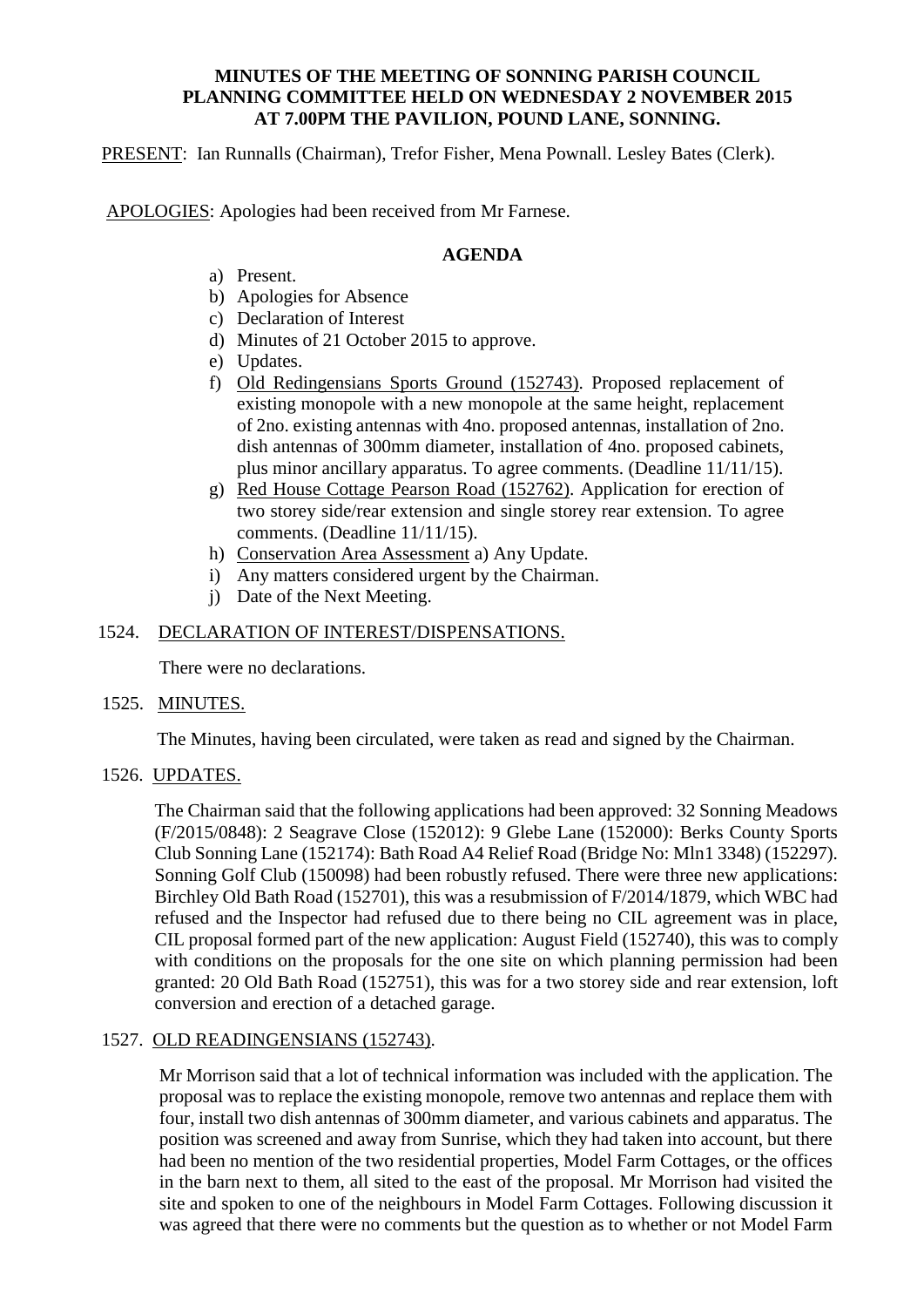# **MINUTES OF THE MEETING OF SONNING PARISH COUNCIL PLANNING COMMITTEE HELD ON WEDNESDAY 2 NOVEMBER 2015 AT 7.00PM THE PAVILION, POUND LANE, SONNING.**

PRESENT: Ian Runnalls (Chairman), Trefor Fisher, Mena Pownall. Lesley Bates (Clerk).

APOLOGIES: Apologies had been received from Mr Farnese.

# **AGENDA**

- a) Present.
- b) Apologies for Absence
- c) Declaration of Interest
- d) Minutes of 21 October 2015 to approve.
- e) Updates.
- f) Old Redingensians Sports Ground (152743). Proposed replacement of existing monopole with a new monopole at the same height, replacement of 2no. existing antennas with 4no. proposed antennas, installation of 2no. dish antennas of 300mm diameter, installation of 4no. proposed cabinets, plus minor ancillary apparatus. To agree comments. (Deadline 11/11/15).
- g) Red House Cottage Pearson Road (152762). Application for erection of two storey side/rear extension and single storey rear extension. To agree comments. (Deadline 11/11/15).
- h) Conservation Area Assessment a) Any Update.
- i) Any matters considered urgent by the Chairman.
- j) Date of the Next Meeting.

# 1524. DECLARATION OF INTEREST/DISPENSATIONS.

There were no declarations.

# 1525. MINUTES.

The Minutes, having been circulated, were taken as read and signed by the Chairman.

# 1526. UPDATES.

The Chairman said that the following applications had been approved: 32 Sonning Meadows (F/2015/0848): 2 Seagrave Close (152012): 9 Glebe Lane (152000): Berks County Sports Club Sonning Lane (152174): Bath Road A4 Relief Road (Bridge No: Mln1 3348) (152297). Sonning Golf Club (150098) had been robustly refused. There were three new applications: Birchley Old Bath Road (152701), this was a resubmission of F/2014/1879, which WBC had refused and the Inspector had refused due to there being no CIL agreement was in place, CIL proposal formed part of the new application: August Field (152740), this was to comply with conditions on the proposals for the one site on which planning permission had been granted: 20 Old Bath Road (152751), this was for a two storey side and rear extension, loft conversion and erection of a detached garage.

# 1527. OLD READINGENSIANS (152743).

Mr Morrison said that a lot of technical information was included with the application. The proposal was to replace the existing monopole, remove two antennas and replace them with four, install two dish antennas of 300mm diameter, and various cabinets and apparatus. The position was screened and away from Sunrise, which they had taken into account, but there had been no mention of the two residential properties, Model Farm Cottages, or the offices in the barn next to them, all sited to the east of the proposal. Mr Morrison had visited the site and spoken to one of the neighbours in Model Farm Cottages. Following discussion it was agreed that there were no comments but the question as to whether or not Model Farm